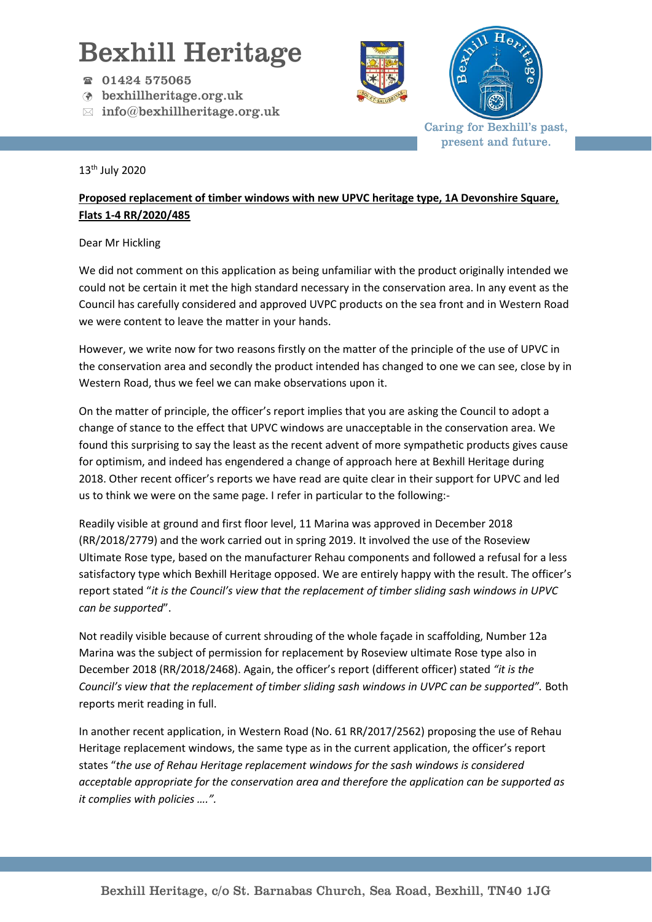## Bexhill Heritage

- 01424 575065
- bexhillheritage.org.uk
- $\boxtimes$  info@bexhillheritage.org.uk





Caring for Bexhill's past, present and future.

## 13th July 2020

## **Proposed replacement of timber windows with new UPVC heritage type, 1A Devonshire Square, Flats 1-4 RR/2020/485**

## Dear Mr Hickling

We did not comment on this application as being unfamiliar with the product originally intended we could not be certain it met the high standard necessary in the conservation area. In any event as the Council has carefully considered and approved UVPC products on the sea front and in Western Road we were content to leave the matter in your hands.

However, we write now for two reasons firstly on the matter of the principle of the use of UPVC in the conservation area and secondly the product intended has changed to one we can see, close by in Western Road, thus we feel we can make observations upon it.

On the matter of principle, the officer's report implies that you are asking the Council to adopt a change of stance to the effect that UPVC windows are unacceptable in the conservation area. We found this surprising to say the least as the recent advent of more sympathetic products gives cause for optimism, and indeed has engendered a change of approach here at Bexhill Heritage during 2018. Other recent officer's reports we have read are quite clear in their support for UPVC and led us to think we were on the same page. I refer in particular to the following:-

Readily visible at ground and first floor level, 11 Marina was approved in December 2018 (RR/2018/2779) and the work carried out in spring 2019. It involved the use of the Roseview Ultimate Rose type, based on the manufacturer Rehau components and followed a refusal for a less satisfactory type which Bexhill Heritage opposed. We are entirely happy with the result. The officer's report stated "*it is the Council's view that the replacement of timber sliding sash windows in UPVC can be supported*".

Not readily visible because of current shrouding of the whole façade in scaffolding, Number 12a Marina was the subject of permission for replacement by Roseview ultimate Rose type also in December 2018 (RR/2018/2468). Again, the officer's report (different officer) stated *"it is the Council's view that the replacement of timber sliding sash windows in UVPC can be supported"*. Both reports merit reading in full.

In another recent application, in Western Road (No. 61 RR/2017/2562) proposing the use of Rehau Heritage replacement windows, the same type as in the current application, the officer's report states "*the use of Rehau Heritage replacement windows for the sash windows is considered acceptable appropriate for the conservation area and therefore the application can be supported as it complies with policies ….".*